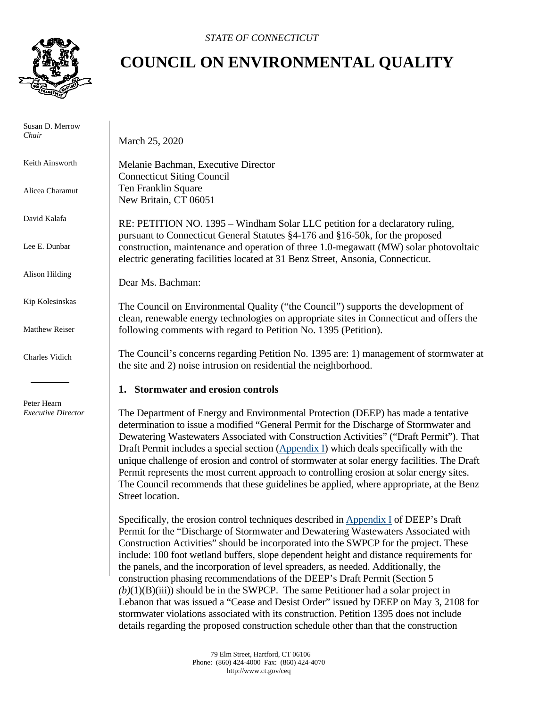

 Susan D. Merrow *Chair*

Keith Ainsworth

Alicea Charamut

David Kalafa

Lee E. Dunbar

Alison Hilding

Kip Kolesinskas

Matthew Reiser

Charles Vidich

 Peter Hearn *Executive Director*

## **COUNCIL ON ENVIRONMENTAL QUALITY**

March 25, 2020

Melanie Bachman, Executive Director Connecticut Siting Council Ten Franklin Square New Britain, CT 06051

RE: PETITION NO. 1395 – Windham Solar LLC petition for a declaratory ruling, pursuant to Connecticut General Statutes §4-176 and §16-50k, for the proposed construction, maintenance and operation of three 1.0-megawatt (MW) solar photovoltaic electric generating facilities located at 31 Benz Street, Ansonia, Connecticut.

Dear Ms. Bachman:

The Council on Environmental Quality ("the Council") supports the development of clean, renewable energy technologies on appropriate sites in Connecticut and offers the following comments with regard to Petition No. 1395 (Petition).

The Council's concerns regarding Petition No. 1395 are: 1) management of stormwater at the site and 2) noise intrusion on residential the neighborhood.

## **1. Stormwater and erosion controls**

The Department of Energy and Environmental Protection (DEEP) has made a tentative determination to issue a modified "General Permit for the Discharge of Stormwater and Dewatering Wastewaters Associated with Construction Activities" ("Draft Permit"). That Draft Permit includes a special section [\(Appendix I\)](https://portal.ct.gov/-/media/DEEP/2019December31GeneralPermitConstructionDraftPermitCleanversion.pdf?la=en) which deals specifically with the unique challenge of erosion and control of stormwater at solar energy facilities. The Draft Permit represents the most current approach to controlling erosion at solar energy sites. The Council recommends that these guidelines be applied, where appropriate, at the Benz Street location.

Specifically, the erosion control techniques described in [Appendix I](https://portal.ct.gov/-/media/DEEP/2019December31GeneralPermitConstructionDraftPermitCleanversion.pdf?la=en) of DEEP's Draft Permit for the "Discharge of Stormwater and Dewatering Wastewaters Associated with Construction Activities" should be incorporated into the SWPCP for the project. These include: 100 foot wetland buffers, slope dependent height and distance requirements for the panels, and the incorporation of level spreaders, as needed. Additionally, the construction phasing recommendations of the DEEP's Draft Permit (Section 5  $(b)(1)(B)(iii)$ ) should be in the SWPCP. The same Petitioner had a solar project in Lebanon that was issued a "Cease and Desist Order" issued by DEEP on May 3, 2108 for stormwater violations associated with its construction. Petition 1395 does not include details regarding the proposed construction schedule other than that the construction